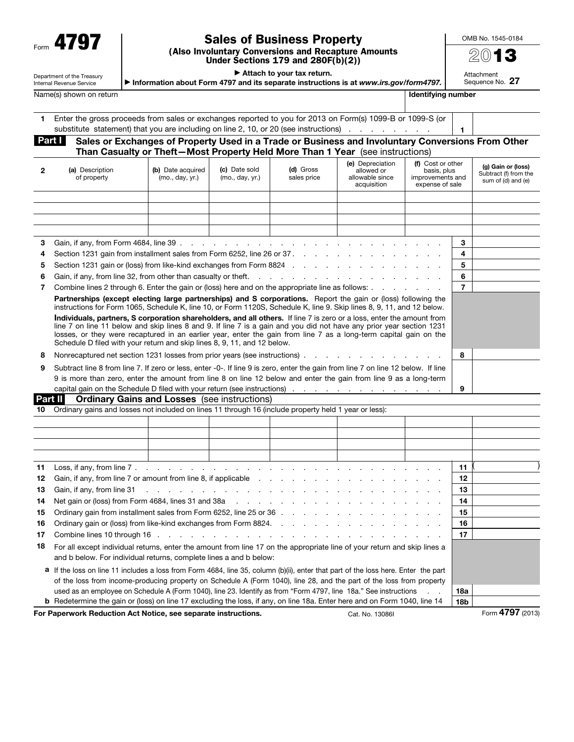| Form |
|------|
|------|

Department of the Treasury

## Sales of Business Property

(Also Involuntary Conversions and Recapture Amounts Under Sections 179 and 280F(b)(2))

▶ Information about Form 4797 and its separate instructions is at *www.irs.gov/form4797.*

▶ Attach to your tax return.

 $A#coh$  $\circ$ . 27

|          | <b>Identifying number</b><br>Name(s) shown on return                                                                                                                                                                                                                                                                                                                                                                                           |                                                     |                                  |                          |                                                                  |                                                                         |                          |                                                                   |
|----------|------------------------------------------------------------------------------------------------------------------------------------------------------------------------------------------------------------------------------------------------------------------------------------------------------------------------------------------------------------------------------------------------------------------------------------------------|-----------------------------------------------------|----------------------------------|--------------------------|------------------------------------------------------------------|-------------------------------------------------------------------------|--------------------------|-------------------------------------------------------------------|
| 1.       | Enter the gross proceeds from sales or exchanges reported to you for 2013 on Form(s) 1099-B or 1099-S (or<br>substitute statement) that you are including on line 2, 10, or 20 (see instructions)                                                                                                                                                                                                                                              |                                                     |                                  |                          |                                                                  |                                                                         | 1                        |                                                                   |
|          | Part I<br>Sales or Exchanges of Property Used in a Trade or Business and Involuntary Conversions From Other<br>Than Casualty or Theft-Most Property Held More Than 1 Year (see instructions)                                                                                                                                                                                                                                                   |                                                     |                                  |                          |                                                                  |                                                                         |                          |                                                                   |
| 2        | (a) Description<br>of property                                                                                                                                                                                                                                                                                                                                                                                                                 | (b) Date acquired<br>(mo., day, yr.)                | (c) Date sold<br>(mo., day, yr.) | (d) Gross<br>sales price | (e) Depreciation<br>allowed or<br>allowable since<br>acquisition | (f) Cost or other<br>basis, plus<br>improvements and<br>expense of sale |                          | (g) Gain or (loss)<br>Subtract (f) from the<br>sum of (d) and (e) |
|          |                                                                                                                                                                                                                                                                                                                                                                                                                                                |                                                     |                                  |                          |                                                                  |                                                                         |                          |                                                                   |
|          |                                                                                                                                                                                                                                                                                                                                                                                                                                                |                                                     |                                  |                          |                                                                  |                                                                         |                          |                                                                   |
|          |                                                                                                                                                                                                                                                                                                                                                                                                                                                |                                                     |                                  |                          |                                                                  |                                                                         |                          |                                                                   |
| З        |                                                                                                                                                                                                                                                                                                                                                                                                                                                |                                                     |                                  |                          |                                                                  |                                                                         | 3                        |                                                                   |
| 4        | Section 1231 gain from installment sales from Form 6252, line 26 or 37.                                                                                                                                                                                                                                                                                                                                                                        |                                                     |                                  |                          |                                                                  |                                                                         | 4                        |                                                                   |
| 5        | Section 1231 gain or (loss) from like-kind exchanges from Form 8824                                                                                                                                                                                                                                                                                                                                                                            |                                                     |                                  |                          |                                                                  |                                                                         | 5                        |                                                                   |
| 6        | Gain, if any, from line 32, from other than casualty or theft.                                                                                                                                                                                                                                                                                                                                                                                 |                                                     |                                  |                          |                                                                  |                                                                         | 6                        |                                                                   |
| 7        | Combine lines 2 through 6. Enter the gain or (loss) here and on the appropriate line as follows:                                                                                                                                                                                                                                                                                                                                               |                                                     |                                  |                          |                                                                  |                                                                         | $\overline{7}$           |                                                                   |
|          | Partnerships (except electing large partnerships) and S corporations. Report the gain or (loss) following the<br>instructions for Form 1065, Schedule K, line 10, or Form 1120S, Schedule K, line 9. Skip lines 8, 9, 11, and 12 below.                                                                                                                                                                                                        |                                                     |                                  |                          |                                                                  |                                                                         |                          |                                                                   |
|          | Individuals, partners, S corporation shareholders, and all others. If line 7 is zero or a loss, enter the amount from<br>line 7 on line 11 below and skip lines 8 and 9. If line 7 is a gain and you did not have any prior year section 1231<br>losses, or they were recaptured in an earlier year, enter the gain from line 7 as a long-term capital gain on the<br>Schedule D filed with your return and skip lines 8, 9, 11, and 12 below. |                                                     |                                  |                          |                                                                  |                                                                         |                          |                                                                   |
| 8        | Nonrecaptured net section 1231 losses from prior years (see instructions).                                                                                                                                                                                                                                                                                                                                                                     |                                                     |                                  |                          |                                                                  |                                                                         | 8                        |                                                                   |
| 9        | Subtract line 8 from line 7. If zero or less, enter -0-. If line 9 is zero, enter the gain from line 7 on line 12 below. If line                                                                                                                                                                                                                                                                                                               |                                                     |                                  |                          |                                                                  |                                                                         |                          |                                                                   |
|          | 9 is more than zero, enter the amount from line 8 on line 12 below and enter the gain from line 9 as a long-term                                                                                                                                                                                                                                                                                                                               |                                                     |                                  |                          |                                                                  |                                                                         |                          |                                                                   |
|          |                                                                                                                                                                                                                                                                                                                                                                                                                                                |                                                     |                                  |                          |                                                                  |                                                                         | 9                        |                                                                   |
|          | Part II<br><b>Ordinary Gains and Losses</b> (see instructions)                                                                                                                                                                                                                                                                                                                                                                                 |                                                     |                                  |                          |                                                                  |                                                                         |                          |                                                                   |
| 10       | Ordinary gains and losses not included on lines 11 through 16 (include property held 1 year or less):                                                                                                                                                                                                                                                                                                                                          |                                                     |                                  |                          |                                                                  |                                                                         |                          |                                                                   |
|          |                                                                                                                                                                                                                                                                                                                                                                                                                                                |                                                     |                                  |                          |                                                                  |                                                                         |                          |                                                                   |
|          |                                                                                                                                                                                                                                                                                                                                                                                                                                                |                                                     |                                  |                          |                                                                  |                                                                         |                          |                                                                   |
|          |                                                                                                                                                                                                                                                                                                                                                                                                                                                |                                                     |                                  |                          |                                                                  |                                                                         |                          |                                                                   |
|          |                                                                                                                                                                                                                                                                                                                                                                                                                                                |                                                     |                                  |                          |                                                                  |                                                                         |                          |                                                                   |
| 11       | Loss, if any, from line $7 \cdot \cdot \cdot \cdot \cdot \cdot \cdot \cdot \cdot \cdot \cdot \cdot \cdot \cdot \cdot \cdot \cdot \cdot$                                                                                                                                                                                                                                                                                                        |                                                     |                                  |                          |                                                                  |                                                                         | 11                       |                                                                   |
| 12       | Gain, if any, from line 7 or amount from line 8, if applicable                                                                                                                                                                                                                                                                                                                                                                                 |                                                     |                                  |                          |                                                                  |                                                                         | 12                       |                                                                   |
| 13       | Gain, if any, from line 31                                                                                                                                                                                                                                                                                                                                                                                                                     | and the contract of the contract of the contract of |                                  |                          |                                                                  |                                                                         | 13<br>14                 |                                                                   |
| 14<br>15 | Ordinary gain from installment sales from Form 6252, line 25 or 36                                                                                                                                                                                                                                                                                                                                                                             |                                                     |                                  |                          |                                                                  |                                                                         | 15                       |                                                                   |
| 16       | Ordinary gain or (loss) from like-kind exchanges from Form 8824.                                                                                                                                                                                                                                                                                                                                                                               |                                                     |                                  |                          |                                                                  |                                                                         | 16                       |                                                                   |
| 17       | Combine lines 10 through 16                                                                                                                                                                                                                                                                                                                                                                                                                    |                                                     |                                  |                          |                                                                  |                                                                         | 17                       |                                                                   |
| 18       | For all except individual returns, enter the amount from line 17 on the appropriate line of your return and skip lines a                                                                                                                                                                                                                                                                                                                       |                                                     |                                  |                          |                                                                  |                                                                         |                          |                                                                   |
|          | and b below. For individual returns, complete lines a and b below:                                                                                                                                                                                                                                                                                                                                                                             |                                                     |                                  |                          |                                                                  |                                                                         |                          |                                                                   |
|          | a If the loss on line 11 includes a loss from Form 4684, line 35, column (b)(ii), enter that part of the loss here. Enter the part                                                                                                                                                                                                                                                                                                             |                                                     |                                  |                          |                                                                  |                                                                         |                          |                                                                   |
|          | of the loss from income-producing property on Schedule A (Form 1040), line 28, and the part of the loss from property                                                                                                                                                                                                                                                                                                                          |                                                     |                                  |                          |                                                                  |                                                                         |                          |                                                                   |
|          | used as an employee on Schedule A (Form 1040), line 23. Identify as from "Form 4797, line 18a." See instructions<br><b>b</b> Redetermine the gain or (loss) on line 17 excluding the loss, if any, on line 18a. Enter here and on Form 1040, line 14                                                                                                                                                                                           |                                                     |                                  |                          |                                                                  |                                                                         | <b>18a</b><br><b>18b</b> |                                                                   |
|          |                                                                                                                                                                                                                                                                                                                                                                                                                                                |                                                     |                                  |                          |                                                                  |                                                                         |                          |                                                                   |

For Paperwork Reduction Act Notice, see separate instructions. Cat. No. 13086I Form 4797 (2013)

OMB No. 1545-0184 2013

| Auachnenu   |  |
|-------------|--|
| Sequence No |  |